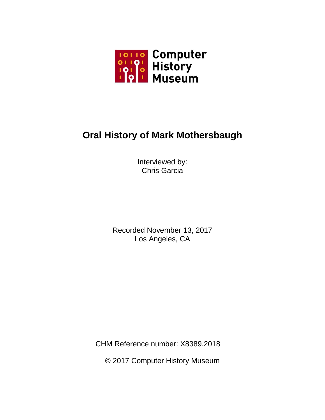

# **Oral History of Mark Mothersbaugh**

Interviewed by: Chris Garcia

Recorded November 13, 2017 Los Angeles, CA

CHM Reference number: X8389.2018

© 2017 Computer History Museum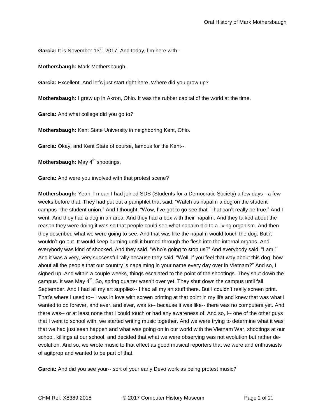Garcia: It is November 13<sup>th</sup>, 2017. And today, I'm here with--

**Mothersbaugh:** Mark Mothersbaugh.

**Garcia:** Excellent. And let's just start right here. Where did you grow up?

**Mothersbaugh:** I grew up in Akron, Ohio. It was the rubber capital of the world at the time.

**Garcia:** And what college did you go to?

**Mothersbaugh:** Kent State University in neighboring Kent, Ohio.

**Garcia:** Okay, and Kent State of course, famous for the Kent--

**Mothersbaugh:** May 4<sup>th</sup> shootings.

**Garcia:** And were you involved with that protest scene?

**Mothersbaugh:** Yeah, I mean I had joined SDS (Students for a Democratic Society) a few days-- a few weeks before that. They had put out a pamphlet that said, "Watch us napalm a dog on the student campus--the student union." And I thought, "Wow, I've got to go see that. That can't really be true." And I went. And they had a dog in an area. And they had a box with their napalm. And they talked about the reason they were doing it was so that people could see what napalm did to a living organism. And then they described what we were going to see. And that was like the napalm would touch the dog. But it wouldn't go out. It would keep burning until it burned through the flesh into the internal organs. And everybody was kind of shocked. And they said, "Who's going to stop us?" And everybody said, "I am." And it was a very, very successful rally because they said, "Well, if you feel that way about this dog, how about all the people that our country is napalming in your name every day over in Vietnam?" And so, I signed up. And within a couple weeks, things escalated to the point of the shootings. They shut down the campus. It was May 4<sup>th</sup>. So, spring quarter wasn't over yet. They shut down the campus until fall, September. And I had all my art supplies-- I had all my art stuff there. But I couldn't really screen print. That's where I used to-- I was in love with screen printing at that point in my life and knew that was what I wanted to do forever, and ever, and ever, was to-- because it was like-- there was no computers yet. And there was-- or at least none that I could touch or had any awareness of. And so, I-- one of the other guys that I went to school with, we started writing music together. And we were trying to determine what it was that we had just seen happen and what was going on in our world with the Vietnam War, shootings at our school, killings at our school, and decided that what we were observing was not evolution but rather deevolution. And so, we wrote music to that effect as good musical reporters that we were and enthusiasts of agitprop and wanted to be part of that.

**Garcia:** And did you see your-- sort of your early Devo work as being protest music?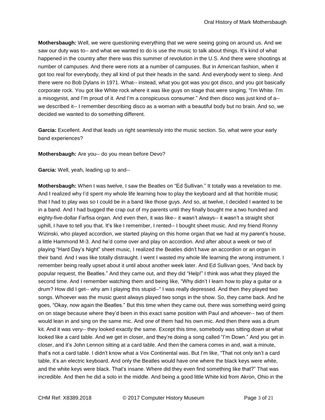**Mothersbaugh:** Well, we were questioning everything that we were seeing going on around us. And we saw our duty was to-- and what we wanted to do is use the music to talk about things. It's kind of what happened in the country after there was this summer of revolution in the U.S. And there were shootings at number of campuses. And there were riots at a number of campuses. But in American fashion, when it got too real for everybody, they all kind of put their heads in the sand. And everybody went to sleep. And there were no Bob Dylans in 1971. What-- instead, what you got was you got disco, and you got basically corporate rock. You got like White rock where it was like guys on stage that were singing, "I'm White. I'm a misogynist, and I'm proud of it. And I'm a conspicuous consumer." And then disco was just kind of a- we described it-- I remember describing disco as a woman with a beautiful body but no brain. And so, we decided we wanted to do something different.

**Garcia:** Excellent. And that leads us right seamlessly into the music section. So, what were your early band experiences?

**Mothersbaugh:** Are you-- do you mean before Devo?

**Garcia:** Well, yeah, leading up to and--

**Mothersbaugh:** When I was twelve, I saw the Beatles on "Ed Sullivan." It totally was a revelation to me. And I realized why I'd spent my whole life learning how to play the keyboard and all that horrible music that I had to play was so I could be in a band like those guys. And so, at twelve, I decided I wanted to be in a band. And I had bugged the crap out of my parents until they finally bought me a two hundred and eighty-five-dollar Farfisa organ. And even then, it was like-- it wasn't always-- it wasn't a straight shot uphill, I have to tell you that. It's like I remember, I rented-- I bought sheet music. And my friend Ronny Wizinski, who played accordion, we started playing on this home organ that we had at my parent's house, a little Hammond M-3. And he'd come over and play on accordion. And after about a week or two of playing "Hard Day's Night" sheet music, I realized the Beatles didn't have an accordion or an organ in their band. And I was like totally distraught. I went I wasted my whole life learning the wrong instrument. I remember being really upset about it until about another week later. And Ed Sullivan goes, "And back by popular request, the Beatles." And they came out, and they did "Help!" I think was what they played the second time. And I remember watching them and being like, "Why didn't I learn how to play a guitar or a drum? How did I get-- why am I playing this stupid--" I was really depressed. And then they played two songs. Whoever was the music guest always played two songs in the show. So, they came back. And he goes, "Okay, now again the Beatles." But this time when they came out, there was something weird going on on stage because where they'd been in this exact same position with Paul and whoever-- two of them would lean in and sing on the same mic. And one of them had his own mic. And then there was a drum kit. And it was very-- they looked exactly the same. Except this time, somebody was sitting down at what looked like a card table. And we get in closer, and they're doing a song called "I'm Down." And you get in closer, and it's John Lennon sitting at a card table. And then the camera comes in and, wait a minute, that's not a card table. I didn't know what a Vox Continental was. But I'm like, "That not only isn't a card table, it's an electric keyboard. And only the Beatles would have one where the black keys were white, and the white keys were black. That's insane. Where did they even find something like that?" That was incredible. And then he did a solo in the middle. And being a good little White kid from Akron, Ohio in the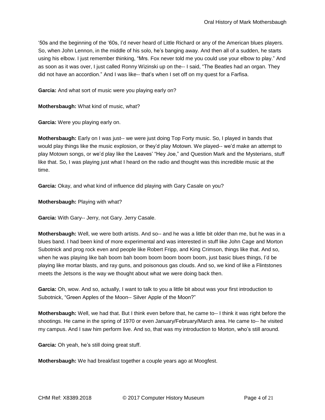'50s and the beginning of the '60s, I'd never heard of Little Richard or any of the American blues players. So, when John Lennon, in the middle of his solo, he's banging away. And then all of a sudden, he starts using his elbow. I just remember thinking, "Mrs. Fox never told me you could use your elbow to play." And as soon as it was over, I just called Ronny Wizinski up on the-- I said, "The Beatles had an organ. They did not have an accordion." And I was like-- that's when I set off on my quest for a Farfisa.

**Garcia:** And what sort of music were you playing early on?

**Mothersbaugh:** What kind of music, what?

**Garcia:** Were you playing early on.

**Mothersbaugh:** Early on I was just-- we were just doing Top Forty music. So, I played in bands that would play things like the music explosion, or they'd play Motown. We played-- we'd make an attempt to play Motown songs, or we'd play like the Leaves' "Hey Joe," and Question Mark and the Mysterians, stuff like that. So, I was playing just what I heard on the radio and thought was this incredible music at the time.

**Garcia:** Okay, and what kind of influence did playing with Gary Casale on you?

**Mothersbaugh:** Playing with what?

**Garcia:** With Gary-- Jerry, not Gary. Jerry Casale.

**Mothersbaugh:** Well, we were both artists. And so-- and he was a little bit older than me, but he was in a blues band. I had been kind of more experimental and was interested in stuff like John Cage and Morton Subotnick and prog rock even and people like Robert Fripp, and King Crimson, things like that. And so, when he was playing like bah boom bah boom boom boom boom boom, just basic blues things, I'd be playing like mortar blasts, and ray guns, and poisonous gas clouds. And so, we kind of like a Flintstones meets the Jetsons is the way we thought about what we were doing back then.

**Garcia:** Oh, wow. And so, actually, I want to talk to you a little bit about was your first introduction to Subotnick, "Green Apples of the Moon-- Silver Apple of the Moon?"

**Mothersbaugh:** Well, we had that. But I think even before that, he came to-- I think it was right before the shootings. He came in the spring of 1970 or even January/February/March area. He came to-- he visited my campus. And I saw him perform live. And so, that was my introduction to Morton, who's still around.

**Garcia:** Oh yeah, he's still doing great stuff.

**Mothersbaugh:** We had breakfast together a couple years ago at Moogfest.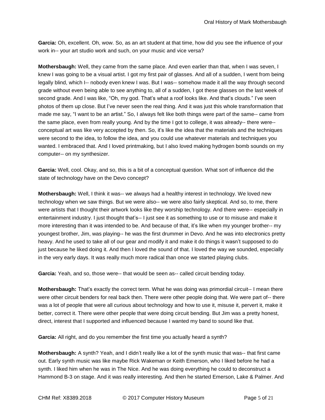**Garcia:** Oh, excellent. Oh, wow. So, as an art student at that time, how did you see the influence of your work in-- your art studio work and such, on your music and vice versa?

**Mothersbaugh:** Well, they came from the same place. And even earlier than that, when I was seven, I knew I was going to be a visual artist. I got my first pair of glasses. And all of a sudden, I went from being legally blind, which I-- nobody even knew I was. But I was-- somehow made it all the way through second grade without even being able to see anything to, all of a sudden, I got these glasses on the last week of second grade. And I was like, "Oh, my god. That's what a roof looks like. And that's clouds." I've seen photos of them up close. But I've never seen the real thing. And it was just this whole transformation that made me say, "I want to be an artist." So, I always felt like both things were part of the same-- came from the same place, even from really young. And by the time I got to college, it was already-- there were- conceptual art was like very accepted by then. So, it's like the idea that the materials and the techniques were second to the idea, to follow the idea, and you could use whatever materials and techniques you wanted. I embraced that. And I loved printmaking, but I also loved making hydrogen bomb sounds on my computer-- on my synthesizer.

**Garcia:** Well, cool. Okay, and so, this is a bit of a conceptual question. What sort of influence did the state of technology have on the Devo concept?

**Mothersbaugh:** Well, I think it was-- we always had a healthy interest in technology. We loved new technology when we saw things. But we were also-- we were also fairly skeptical. And so, to me, there were artists that I thought their artwork looks like they worship technology. And there were-- especially in entertainment industry. I just thought that's-- I just see it as something to use or to misuse and make it more interesting than it was intended to be. And because of that, it's like when my younger brother-- my youngest brother, Jim, was playing-- he was the first drummer in Devo. And he was into electronics pretty heavy. And he used to take all of our gear and modify it and make it do things it wasn't supposed to do just because he liked doing it. And then I loved the sound of that. I loved the way we sounded, especially in the very early days. It was really much more radical than once we started playing clubs.

Garcia: Yeah, and so, those were-- that would be seen as-- called circuit bending today.

**Mothersbaugh:** That's exactly the correct term. What he was doing was primordial circuit-- I mean there were other circuit benders for real back then. There were other people doing that. We were part of-- there was a lot of people that were all curious about technology and how to use it, misuse it, pervert it, make it better, correct it. There were other people that were doing circuit bending. But Jim was a pretty honest, direct, interest that I supported and influenced because I wanted my band to sound like that.

**Garcia:** All right, and do you remember the first time you actually heard a synth?

**Mothersbaugh:** A synth? Yeah, and I didn't really like a lot of the synth music that was-- that first came out. Early synth music was like maybe Rick Wakeman or Keith Emerson, who I liked before he had a synth. I liked him when he was in The Nice. And he was doing everything he could to deconstruct a Hammond B-3 on stage. And it was really interesting. And then he started Emerson, Lake & Palmer. And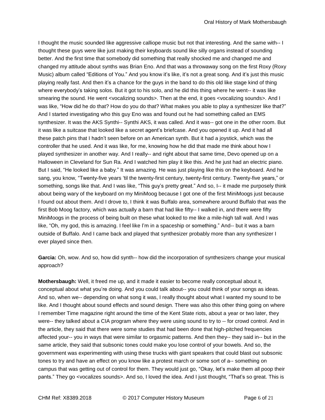I thought the music sounded like aggressive calliope music but not that interesting. And the same with-- I thought these guys were like just making their keyboards sound like silly organs instead of sounding better. And the first time that somebody did something that really shocked me and changed me and changed my attitude about synths was Brian Eno. And that was a throwaway song on the first Roxy (Roxy Music) album called "Editions of You." And you know it's like, it's not a great song. And it's just this music playing really fast. And then it's a chance for the guys in the band to do this old like stage kind of thing where everybody's taking solos. But it got to his solo, and he did this thing where he went-- it was like smearing the sound. He went <vocalizing sounds>. Then at the end, it goes <vocalizing sounds>. And I was like, "How did he do that? How do you do that? What makes you able to play a synthesizer like that?" And I started investigating who this guy Eno was and found out he had something called an EMS synthesizer. It was the AKS Synthi-- Synthi AKS, it was called. And it was-- got one in the other room. But it was like a suitcase that looked like a secret agent's briefcase. And you opened it up. And it had all these patch pins that I hadn't seen before on an American synth. But it had a joystick, which was the controller that he used. And it was like, for me, knowing how he did that made me think about how I played synthesizer in another way. And I really-- and right about that same time, Devo opened up on a Halloween in Cleveland for Sun Ra. And I watched him play it like this. And he just had an electric piano. But I said, "He looked like a baby." It was amazing. He was just playing like this on the keyboard. And he sang, you know, "Twenty-five years 'til the twenty-first century, twenty-first century. Twenty-five years," or something, songs like that. And I was like, "This guy's pretty great." And so, I-- it made me purposely think about being wary of the keyboard on my MiniMoog because I got one of the first MiniMoogs just because I found out about them. And I drove to, I think it was Buffalo area, somewhere around Buffalo that was the first Bob Moog factory, which was actually a barn that had like fifty-- I walked in, and there were fifty MiniMoogs in the process of being built on these what looked to me like a mile-high tall wall. And I was like, "Oh, my god, this is amazing. I feel like I'm in a spaceship or something." And-- but it was a barn outside of Buffalo. And I came back and played that synthesizer probably more than any synthesizer I ever played since then.

**Garcia:** Oh, wow. And so, how did synth-- how did the incorporation of synthesizers change your musical approach?

**Mothersbaugh:** Well, it freed me up, and it made it easier to become really conceptual about it, conceptual about what you're doing. And you could talk about-- you could think of your songs as ideas. And so, when we-- depending on what song it was, I really thought about what I wanted my sound to be like. And I thought about sound effects and sound design. There was also this other thing going on where I remember Time magazine right around the time of the Kent State riots, about a year or two later, they were-- they talked about a CIA program where they were using sound to try to -- for crowd control. And in the article, they said that there were some studies that had been done that high-pitched frequencies affected your-- you in ways that were similar to orgasmic patterns. And then they-- they said in-- but in the same article, they said that subsonic tones could make you lose control of your bowels. And so, the government was experimenting with using these trucks with giant speakers that could blast out subsonic tones to try and have an effect on you know like a protest march or some sort of a-- something on campus that was getting out of control for them. They would just go, "Okay, let's make them all poop their pants." They go <vocalizes sounds>. And so, I loved the idea. And I just thought, "That's so great. This is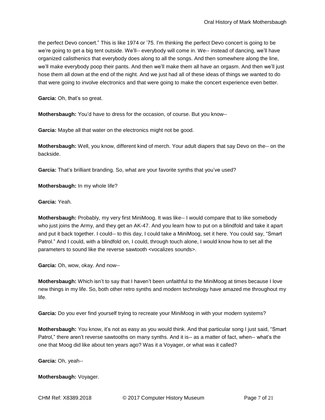the perfect Devo concert." This is like 1974 or '75. I'm thinking the perfect Devo concert is going to be we're going to get a big tent outside. We'll-- everybody will come in. We-- instead of dancing, we'll have organized calisthenics that everybody does along to all the songs. And then somewhere along the line, we'll make everybody poop their pants. And then we'll make them all have an orgasm. And then we'll just hose them all down at the end of the night. And we just had all of these ideas of things we wanted to do that were going to involve electronics and that were going to make the concert experience even better.

**Garcia:** Oh, that's so great.

**Mothersbaugh:** You'd have to dress for the occasion, of course. But you know--

**Garcia:** Maybe all that water on the electronics might not be good.

**Mothersbaugh:** Well, you know, different kind of merch. Your adult diapers that say Devo on the-- on the backside.

**Garcia:** That's brilliant branding. So, what are your favorite synths that you've used?

**Mothersbaugh:** In my whole life?

**Garcia:** Yeah.

**Mothersbaugh:** Probably, my very first MiniMoog. It was like-- I would compare that to like somebody who just joins the Army, and they get an AK-47. And you learn how to put on a blindfold and take it apart and put it back together. I could-- to this day, I could take a MiniMoog, set it here. You could say, "Smart Patrol." And I could, with a blindfold on, I could, through touch alone, I would know how to set all the parameters to sound like the reverse sawtooth <vocalizes sounds>.

**Garcia:** Oh, wow, okay. And now--

**Mothersbaugh:** Which isn't to say that I haven't been unfaithful to the MiniMoog at times because I love new things in my life. So, both other retro synths and modern technology have amazed me throughout my life.

**Garcia:** Do you ever find yourself trying to recreate your MiniMoog in with your modern systems?

**Mothersbaugh:** You know, it's not as easy as you would think. And that particular song I just said, "Smart Patrol," there aren't reverse sawtooths on many synths. And it is-- as a matter of fact, when-- what's the one that Moog did like about ten years ago? Was it a Voyager, or what was it called?

**Garcia:** Oh, yeah--

**Mothersbaugh:** Voyager.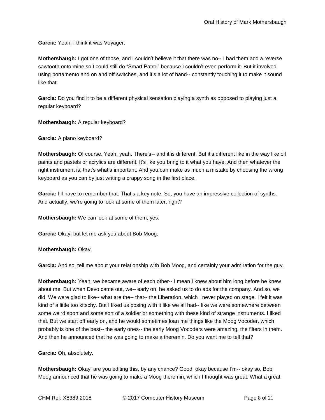**Garcia:** Yeah, I think it was Voyager.

**Mothersbaugh:** I got one of those, and I couldn't believe it that there was no-- I had them add a reverse sawtooth onto mine so I could still do "Smart Patrol" because I couldn't even perform it. But it involved using portamento and on and off switches, and it's a lot of hand-- constantly touching it to make it sound like that.

**Garcia:** Do you find it to be a different physical sensation playing a synth as opposed to playing just a regular keyboard?

**Mothersbaugh:** A regular keyboard?

**Garcia:** A piano keyboard?

**Mothersbaugh:** Of course. Yeah, yeah. There's-- and it is different. But it's different like in the way like oil paints and pastels or acrylics are different. It's like you bring to it what you have. And then whatever the right instrument is, that's what's important. And you can make as much a mistake by choosing the wrong keyboard as you can by just writing a crappy song in the first place.

**Garcia:** I'll have to remember that. That's a key note. So, you have an impressive collection of synths. And actually, we're going to look at some of them later, right?

**Mothersbaugh:** We can look at some of them, yes.

**Garcia:** Okay, but let me ask you about Bob Moog.

**Mothersbaugh:** Okay.

**Garcia:** And so, tell me about your relationship with Bob Moog, and certainly your admiration for the guy.

**Mothersbaugh:** Yeah, we became aware of each other-- I mean I knew about him long before he knew about me. But when Devo came out, we-- early on, he asked us to do ads for the company. And so, we did. We were glad to like-- what are the-- that-- the Liberation, which I never played on stage. I felt it was kind of a little too kitschy. But I liked us posing with it like we all had-- like we were somewhere between some weird sport and some sort of a soldier or something with these kind of strange instruments. I liked that. But we start off early on, and he would sometimes loan me things like the Moog Vocoder, which probably is one of the best-- the early ones-- the early Moog Vocoders were amazing, the filters in them. And then he announced that he was going to make a theremin. Do you want me to tell that?

**Garcia:** Oh, absolutely.

**Mothersbaugh:** Okay, are you editing this, by any chance? Good, okay because I'm-- okay so, Bob Moog announced that he was going to make a Moog theremin, which I thought was great. What a great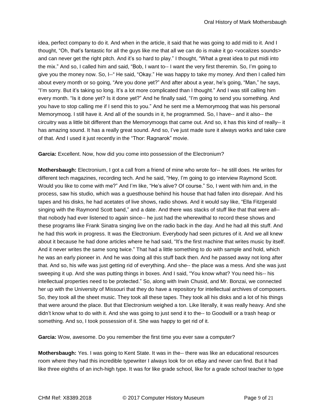idea, perfect company to do it. And when in the article, it said that he was going to add midi to it. And I thought, "Oh, that's fantastic for all the guys like me that all we can do is make it go <vocalizes sounds> and can never get the right pitch. And it's so hard to play." I thought, "What a great idea to put midi into the mix." And so, I called him and said, "Bob, I want to-- I want the very first theremin. So, I'm going to give you the money now. So, I--" He said, "Okay." He was happy to take my money. And then I called him about every month or so going, "Are you done yet?" And after about a year, he's going, "Man," he says, "I'm sorry. But it's taking so long. It's a lot more complicated than I thought." And I was still calling him every month. "Is it done yet? Is it done yet?" And he finally said, "I'm going to send you something. And you have to stop calling me if I send this to you." And he sent me a Memorymoog that was his personal Memorymoog. I still have it. And all of the sounds in it, he programmed. So, I have-- and it also-- the circuitry was a little bit different than the Memorymoogs that came out. And so, it has this kind of really-- it has amazing sound. It has a really great sound. And so, I've just made sure it always works and take care of that. And I used it just recently in the "Thor: Ragnarok" movie.

**Garcia:** Excellent. Now, how did you come into possession of the Electronium?

**Mothersbaugh:** Electronium, I got a call from a friend of mine who wrote for-- he still does. He writes for different tech magazines, recording tech. And he said, "Hey, I'm going to go interview Raymond Scott. Would you like to come with me?" And I'm like, "He's alive? Of course." So, I went with him and, in the process, saw his studio, which was a guesthouse behind his house that had fallen into disrepair. And his tapes and his disks, he had acetates of live shows, radio shows. And it would say like, "Ella Fitzgerald singing with the Raymond Scott band," and a date. And there was stacks of stuff like that that were all- that nobody had ever listened to again since-- he just had the wherewithal to record these shows and these programs like Frank Sinatra singing live on the radio back in the day. And he had all this stuff. And he had this work in progress. It was the Electronium. Everybody had seen pictures of it. And we all knew about it because he had done articles where he had said, "It's the first machine that writes music by itself. And it never writes the same song twice." That had a little something to do with sample and hold, which he was an early pioneer in. And he was doing all this stuff back then. And he passed away not long after that. And so, his wife was just getting rid of everything. And she-- the place was a mess. And she was just sweeping it up. And she was putting things in boxes. And I said, "You know what? You need his-- his intellectual properties need to be protected." So, along with Irwin Chusid, and Mr. Bonzai, we connected her up with the University of Missouri that they do have a repository for intellectual archives of composers. So, they took all the sheet music. They took all these tapes. They took all his disks and a lot of his things that were around the place. But that Electronium weighed a ton. Like literally, it was really heavy. And she didn't know what to do with it. And she was going to just send it to the-- to Goodwill or a trash heap or something. And so, I took possession of it. She was happy to get rid of it.

**Garcia:** Wow, awesome. Do you remember the first time you ever saw a computer?

**Mothersbaugh:** Yes. I was going to Kent State. It was in the-- there was like an educational resources room where they had this incredible typewriter I always look for on eBay and never can find. But it had like three eighths of an inch-high type. It was for like grade school, like for a grade school teacher to type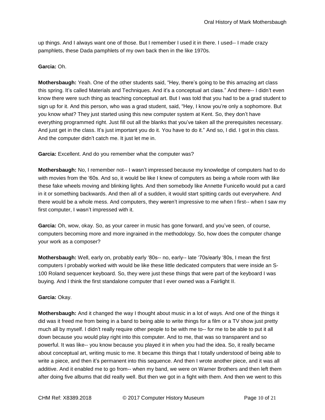up things. And I always want one of those. But I remember I used it in there. I used-- I made crazy pamphlets, these Dada pamphlets of my own back then in the like 1970s.

## **Garcia:** Oh.

**Mothersbaugh:** Yeah. One of the other students said, "Hey, there's going to be this amazing art class this spring. It's called Materials and Techniques. And it's a conceptual art class." And there-- I didn't even know there were such thing as teaching conceptual art. But I was told that you had to be a grad student to sign up for it. And this person, who was a grad student, said, "Hey, I know you're only a sophomore. But you know what? They just started using this new computer system at Kent. So, they don't have everything programmed right. Just fill out all the blanks that you've taken all the prerequisites necessary. And just get in the class. It's just important you do it. You have to do it." And so, I did. I got in this class. And the computer didn't catch me. It just let me in.

**Garcia:** Excellent. And do you remember what the computer was?

**Mothersbaugh:** No, I remember not-- I wasn't impressed because my knowledge of computers had to do with movies from the '60s. And so, it would be like I knew of computers as being a whole room with like these fake wheels moving and blinking lights. And then somebody like Annette Funicello would put a card in it or something backwards. And then all of a sudden, it would start spitting cards out everywhere. And there would be a whole mess. And computers, they weren't impressive to me when I first-- when I saw my first computer, I wasn't impressed with it.

**Garcia:** Oh, wow, okay. So, as your career in music has gone forward, and you've seen, of course, computers becoming more and more ingrained in the methodology. So, how does the computer change your work as a composer?

**Mothersbaugh:** Well, early on, probably early '80s-- no, early-- late '70s/early '80s, I mean the first computers I probably worked with would be like these little dedicated computers that were inside an S-100 Roland sequencer keyboard. So, they were just these things that were part of the keyboard I was buying. And I think the first standalone computer that I ever owned was a Fairlight II.

# **Garcia:** Okay.

**Mothersbaugh:** And it changed the way I thought about music in a lot of ways. And one of the things it did was it freed me from being in a band to being able to write things for a film or a TV show just pretty much all by myself. I didn't really require other people to be with me to-- for me to be able to put it all down because you would play right into this computer. And to me, that was so transparent and so powerful. It was like-- you know because you played it in when you had the idea. So, it really became about conceptual art, writing music to me. It became this things that I totally understood of being able to write a piece, and then it's permanent into this sequence. And then I wrote another piece, and it was all additive. And it enabled me to go from-- when my band, we were on Warner Brothers and then left them after doing five albums that did really well. But then we got in a fight with them. And then we went to this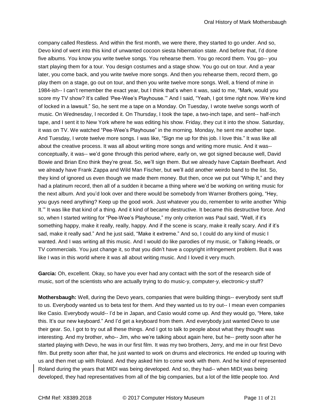company called Restless. And within the first month, we were there, they started to go under. And so, Devo kind of went into this kind of unwanted cocoon siesta hibernation state. And before that, I'd done five albums. You know you write twelve songs. You rehearse them. You go record them. You go-- you start playing them for a tour. You design costumes and a stage show. You go out on tour. And a year later, you come back, and you write twelve more songs. And then you rehearse them, record them, go play them on a stage, go out on tour, and then you write twelve more songs. Well, a friend of mine in 1984-ish-- I can't remember the exact year, but I think that's when it was, said to me, "Mark, would you score my TV show? It's called 'Pee-Wee's Playhouse.'" And I said, "Yeah, I got time right now. We're kind of locked in a lawsuit." So, he sent me a tape on a Monday. On Tuesday, I wrote twelve songs worth of music. On Wednesday, I recorded it. On Thursday, I took the tape, a two-inch tape, and sent-- half-inch tape, and I sent it to New York where he was editing his show. Friday, they cut it into the show. Saturday, it was on TV. We watched "Pee-Wee's Playhouse" in the morning. Monday, he sent me another tape. And Tuesday, I wrote twelve more songs. I was like, "Sign me up for this job. I love this." It was like all about the creative process. It was all about writing more songs and writing more music. And it was- conceptually, it was-- we'd gone through this period where, early on, we got signed because well, David Bowie and Brian Eno think they're great. So, we'll sign them. But we already have Captain Beefheart. And we already have Frank Zappa and Wild Man Fischer, but we'll add another weirdo band to the list. So, they kind of ignored us even though we made them money. But then, once we put out "Whip It," and they had a platinum record, then all of a sudden it became a thing where we'd be working on writing music for the next album. And you'd look over and there would be somebody from Warner Brothers going, "Hey, you guys need anything? Keep up the good work. Just whatever you do, remember to write another 'Whip It.'" It was like that kind of a thing. And it kind of became destructive. It became this destructive force. And so, when I started writing for "Pee-Wee's Playhouse," my only criterion was Paul said, "Well, if it's something happy, make it really, really, happy. And if the scene is scary, make it really scary. And if it's sad, make it really sad." And he just said, "Make it extreme." And so, I could do any kind of music I wanted. And I was writing all this music. And I would do like parodies of my music, or Talking Heads, or TV commercials. You just change it, so that you didn't have a copyright infringement problem. But it was like I was in this world where it was all about writing music. And I loved it very much.

**Garcia:** Oh, excellent. Okay, so have you ever had any contact with the sort of the research side of music, sort of the scientists who are actually trying to do music-y, computer-y, electronic-y stuff?

**Mothersbaugh:** Well, during the Devo years, companies that were building things-- everybody sent stuff to us. Everybody wanted us to beta test for them. And they wanted us to try out-- I mean even companies like Casio. Everybody would-- I'd be in Japan, and Casio would come up. And they would go, "Here, take this. It's our new keyboard." And I'd get a keyboard from them. And everybody just wanted Devo to use their gear. So, I got to try out all these things. And I got to talk to people about what they thought was interesting. And my brother, who-- Jim, who we're talking about again here, but he-- pretty soon after he started playing with Devo, he was in our first film. It was my two brothers, Jerry, and me in our first Devo film. But pretty soon after that, he just wanted to work on drums and electronics. He ended up touring with us and then met up with Roland. And they asked him to come work with them. And he kind of represented Roland during the years that MIDI was being developed. And so, they had-- when MIDI was being developed, they had representatives from all of the big companies, but a lot of the little people too. And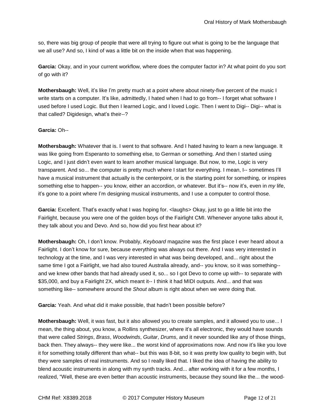so, there was big group of people that were all trying to figure out what is going to be the language that we all use? And so, I kind of was a little bit on the inside when that was happening.

**Garcia:** Okay, and in your current workflow, where does the computer factor in? At what point do you sort of go with it?

**Mothersbaugh:** Well, it's like I'm pretty much at a point where about ninety-five percent of the music I write starts on a computer. It's like, admittedly, I hated when I had to go from-- I forget what software I used before I used Logic. But then I learned Logic, and I loved Logic. Then I went to Digi-- Digi-- what is that called? Digidesign, what's their--?

# **Garcia:** Oh--

**Mothersbaugh:** Whatever that is. I went to that software. And I hated having to learn a new language. It was like going from Esperanto to something else, to German or something. And then I started using Logic, and I just didn't even want to learn another musical language. But now, to me, Logic is very transparent. And so... the computer is pretty much where I start for everything. I mean, I-- sometimes I'll have a musical instrument that actually is the centerpoint, or is the starting point for something, or inspires something else to happen-- you know, either an accordion, or whatever. But it's-- now it's, even in *my* life, it's gone to a point where I'm designing musical instruments, and I use a computer to control those.

**Garcia:** Excellent. That's exactly what I was hoping for. <laughs> Okay, just to go a little bit into the Fairlight, because you were one of the golden boys of the Fairlight CMI. Whenever anyone talks about it, they talk about you and Devo. And so, how did you first hear about it?

**Mothersbaugh:** Oh, I don't know. Probably, *Keyboard* magazine was the first place I ever heard about a Fairlight. I don't know for sure, because everything was always out there. And I was very interested in technology at the time, and I was very interested in what was being developed, and... right about the same time I got a Fairlight, we had also toured Australia already, and-- you know, so it was something- and we knew other bands that had already used it, so... so I got Devo to come up with-- to separate with \$35,000, and buy a Fairlight 2X, which meant it-- I think it had MIDI outputs. And... and that was something like-- somewhere around the *Shout* album is right about when we were doing that.

**Garcia:** Yeah. And what did it make possible, that hadn't been possible before?

**Mothersbaugh:** Well, it was fast, but it also allowed you to create samples, and it allowed you to use... I mean, the thing about, you know, a Rollins synthesizer, where it's all electronic, they would have sounds that were called *Strings*, *Brass*, *Woodwinds*, *Guitar*, *Drums*, and it never sounded like any of those things, back then. They always-- they were like... the worst kind of approximations now. And now it's like you love it for something totally different than what-- but this was 8-bit, so it was pretty low quality to begin with, but they were samples of real instruments. And so I really liked that. I liked the idea of having the ability to blend acoustic instruments in along with my synth tracks. And... after working with it for a few months, I realized, "Well, these are even better than acoustic instruments, because they sound like the... the wood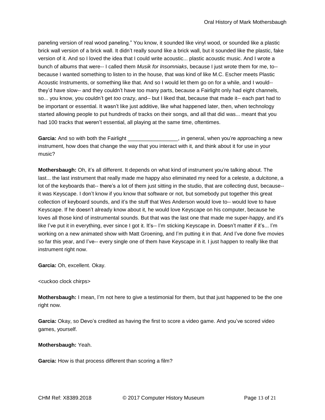paneling version of real wood paneling." You know, it sounded like vinyl wood, or sounded like a plastic brick wall version of a brick wall. It didn't really sound like a brick wall, but it sounded like the plastic, fake version of it. And so I loved the idea that I could write acoustic... plastic acoustic music. And I wrote a bunch of albums that were-- I called them *Musik for Insomniaks*, because I just wrote them for me, to- because I wanted something to listen to in the house, that was kind of like M.C. Escher meets Plastic Acoustic Instruments, or something like that. And so I would let them go on for a while, and I would- they'd have slow-- and they couldn't have too many parts, because a Fairlight only had eight channels, so... you know, you couldn't get *too* crazy, and-- but I liked that, because that made it-- each part had to be important or essential. It wasn't like just additive, like what happened later, then, when technology started allowing people to put hundreds of tracks on their songs, and all that did was... meant that you had 100 tracks that weren't essential, all playing at the same time, oftentimes.

**Garcia:** And so with both the Fairlight **Example 20**, in general, when you're approaching a new instrument, how does that change the way that you interact with it, and think about it for use in your music?

**Mothersbaugh:** Oh, it's all different. It depends on what kind of instrument you're talking about. The last... the last instrument that really made me happy also eliminated my need for a celeste, a dulcitone, a lot of the keyboards that-- there's a lot of them just sitting in the studio, that are collecting dust, because- it was Keyscape. I don't know if you know that software or not, but somebody put together this great collection of keyboard sounds, and it's the stuff that Wes Anderson would love to-- would love to have Keyscape. If he doesn't already know about it, he would love Keyscape on his computer, because he loves all those kind of instrumental sounds. But that was the last one that made me super-happy, and it's like I've put it in everything, ever since I got it. It's-- I'm sticking Keyscape in. Doesn't matter if it's... I'm working on a new animated show with Matt Groening, and I'm putting it in that. And I've done five movies so far this year, and I've-- every single one of them have Keyscape in it. I just happen to really like that instrument right now.

**Garcia:** Oh, excellent. Okay.

## <cuckoo clock chirps>

**Mothersbaugh:** I mean, I'm not here to give a testimonial for them, but that just happened to be the one right now.

**Garcia:** Okay, so Devo's credited as having the first to score a video game. And you've scored video games, yourself.

# **Mothersbaugh:** Yeah.

**Garcia:** How is that process different than scoring a film?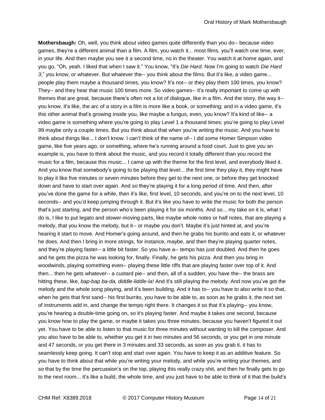**Mothersbaugh:** Oh, well, you think about video games quite differently than you do-- because video games, they're a different animal than a film. A film, you watch it... most films, you'll watch one time, ever, in your life. And then maybe you see it a second time, no in the theater. You watch it at home again, and you go, "Oh, yeah. I liked that when I saw it." You know, "It's *Die Hard*. Now I'm going to watch *Die Hard 3*," you know, or whatever. But whatever the-- you think about the films. But it's like, a video game... people play them maybe a thousand times, you know? It's not-- or they play them 100 times, you know? They-- and they hear that music 100 times more. So video games-- it's really important to come up with themes that are great, because there's often not a lot of dialogue, like in a film. And the story, the way it- you know, it's like, the arc of a story in a film is more like a book, or something; and in a video game, it's this other animal that's growing inside you, like maybe a fungus, even, you know? It's kind of like-- a video game is something where you're going to play Level 1 a thousand times; you're going to play Level 99 maybe only a couple times. But you think about that when you're writing the music. And you have to think about things like... I don't know. I can't think of the name of-- I did some Homer Simpson video game, like five years ago, or something, where he's running around a food court. Just to give you an example is, you have to think about the music, and you record it totally different than you record the music for a film, because this music... I came up with the theme for the first level, and everybody liked it. And you know that somebody's going to be playing that level... the first time they play it, they might have to play it like five minutes or seven minutes before they get to the next one, or before they get knocked down and have to start over again. And so they're playing it for a long period of time. And then, after you've done the game for a while, then it's like, first level, 10 seconds, and you're on to the next level, 10 seconds-- and you'd keep jumping through it. But it's like you have to write the music for both the person that's just starting, and the person who's been playing it for six months. And so... my take on it is, what I do is, I like to put legato and slower-moving parts, like maybe whole notes or half notes, that are playing a melody, that you know the melody, but it-- or maybe you don't. Maybe it's just hinted at, and you're hearing it start to move. And Homer's going around, and then he grabs his burrito and eats it, or whatever he does. And then I bring in more strings, for instance, maybe, and then they're playing quarter notes, and they're playing faster-- a little bit faster. So you have a-- tempo has just doubled. And then he goes and he gets the pizza he was looking for, finally. Finally, he gets his pizza. And then you bring in woodwinds, playing something even-- playing these little riffs that are playing faster over top of it. And then... then he gets whatever-- a custard pie-- and then, all of a sudden, you have the-- the brass are hitting these, like, *bap-bap ba-da, diddle-liddle-la!* And it's still playing the melody. And now you've got the melody and the whole song playing, and it's been building. And it has to-- you have to also write it so that, when he gets that first sand-- his first burrito, you have to be able to, as soon as he grabs it, the next set of instruments add in, and change the tempo right there. It changes it so that it's playing-- you know, you're hearing a double-time going on, so it's playing faster. And maybe it takes one second, because you know how to play the game, or maybe it takes you three minutes, because you haven't figured it out yet. You have to be able to listen to that music for three minutes without wanting to kill the composer. And you also have to be able to, whether you get it in two minutes and 56 seconds, or you get in one minute and 47 seconds, or you get there in 3 minutes and 33 seconds, as soon as you grab it, it has to seamlessly keep going. It can't stop and start over again. You have to keep it as an additive feature. So you have to think about that while you're writing your melody, and while you're writing your themes, and so that by the time the percussion's on the top, playing this really crazy shit, and then he finally gets to go to the next room... it's like a build, the whole time, and you just have to be able to think of it that the build's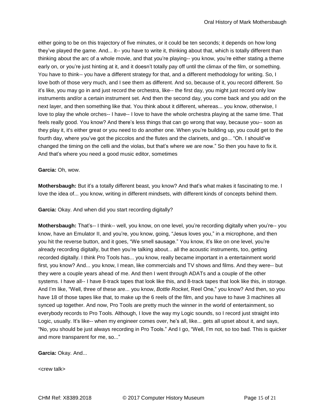either going to be on this trajectory of five minutes, or it could be ten seconds; it depends on how long they've played the game. And... it-- you have to write it, thinking about that, which is totally different than thinking about the arc of a whole movie, and that you're playing-- you know, you're either stating a theme early on, or you're just hinting at it, and it doesn't totally pay off until the climax of the film, or something. You have to think-- you have a different strategy for that, and a different methodology for writing. So, I love both of those very much, and I see them as different. And so, because of it, you record different. So it's like, you may go in and just record the orchestra, like-- the first day, you might just record only low instruments and/or a certain instrument set. And then the second day, you come back and you add on the next layer, and then something like that. You think about it different, whereas... you know, otherwise, I love to play the whole orches-- I have-- I love to have the whole orchestra playing at the same time. That feels really good. You know? And there's less things that can go wrong that way, because you-- soon as they play it, it's either great or you need to do another one. When you're building up, you could get to the fourth day, where you've got the piccolos and the flutes and the clarinets, and go... "Oh. I should've changed the timing on the celli and the violas, but that's where we are now." So then you have to fix it. And that's where you need a good music editor, sometimes

## **Garcia:** Oh, wow.

**Mothersbaugh:** But it's a totally different beast, you know? And that's what makes it fascinating to me. I love the idea of... you know, writing in different mindsets, with different kinds of concepts behind them.

**Garcia:** Okay. And when did you start recording digitally?

**Mothersbaugh:** That's-- I think-- well, you know, on one level, you're recording digitally when you're-- you know, have an Emulator II, and you're, you know, going, "Jesus loves you," in a microphone, and then you hit the reverse button, and it goes, "We smell sausage." You know, it's like on one level, you're already recording digitally, but then you're talking about... all the acoustic instruments, too, getting recorded digitally. I think Pro Tools has... you know, really became important in a entertainment world first, you know? And... you know, I mean, like commercials and TV shows and films. And they were-- but they were a couple years ahead of me. And then I went through ADATs and a couple of the other systems. I have all-- I have 8-track tapes that look like this, and 8-track tapes that look like this, in storage. And I'm like, "Well, three of these are... you know, *Bottle Rocket*, Reel One," you know? And then, so you have 18 of those tapes like that, to make up the 6 reels of the film, and you have to have 3 machines all synced up together. And now, Pro Tools are pretty much the winner in the world of entertainment, so everybody records to Pro Tools. Although, I love the way my Logic sounds, so I record just straight into Logic, usually. It's like-- when my engineer comes over, he's all, like... gets all upset about it, and says, "No, you should be just always recording in Pro Tools." And I go, "Well, I'm not, so too bad. This is quicker and more transparent for me, so..."

**Garcia:** Okay. And...

<crew talk>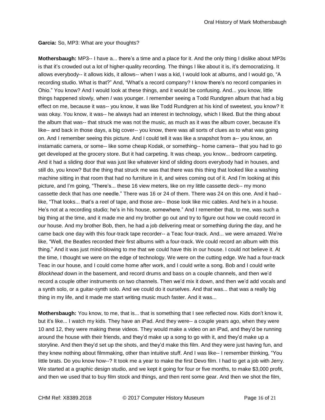**Garcia:** So, MP3: What are your thoughts?

**Mothersbaugh:** MP3-- I have a... there's a time and a place for it. And the only thing I dislike about MP3s is that it's crowded out a lot of higher-quality recording. The things I like about it is, it's democratizing. It allows everybody-- it allows kids, it allows-- when I was a kid, I would look at albums, and I would go, "A recording studio. What is that?" And, "What's a record company? I know there's no record companies in Ohio." You know? And I would look at these things, and it would be confusing. And... you know, little things happened slowly, when *I* was younger. I remember seeing a Todd Rundgren album that had a big effect on me, because it was-- you know, it was like Todd Rundgren at his kind of sweetest, you know? It was okay. You know, it was-- he always had an interest in technology, which I liked. But the thing about the album that was-- that struck me was not the music, as much as it was the album cover, because it's like-- and back in those days, a big cover-- you know, there was all sorts of clues as to what was going on. And I remember seeing this picture. And I could tell it was like a snapshot from a-- you know, an instamatic camera, or some-- like some cheap Kodak, or something-- home camera-- that you had to go get developed at the grocery store. But it had carpeting. It was cheap, you know... bedroom carpeting. And it had a sliding door that was just like whatever kind of sliding doors everybody had in houses, and still do, you know? But the thing that struck me was that there was this thing that looked like a washing machine sitting in that room that had no furniture in it, and wires coming out of it. And I'm looking at this picture, and I'm going, "There's... these 16 view meters, like on my little cassette deck-- my mono cassette deck that has one needle." There was 16 or 24 of them. There was 24 on this one. And it had- like, "That looks... that's a reel of tape, and those are-- those look like mic cables. And he's in a house. He's not at a recording studio; he's in his house, somewhere." And I remember that, to me, was such a big thing at the time, and it made me and my brother go out and try to figure out how we could record in *our* house. And my brother Bob, then, he had a job delivering meat or something during the day, and he came back one day with this four-track tape recorder-- a Teac four-track. And... we were amazed. We're like, "Well, the Beatles recorded their first albums with a four-track. We could record an album with this thing." And it was just mind-blowing to me that we could have this in our house. I could not believe it. At the time, I thought we were on the edge of technology. We were on the cutting edge. We had a four-track Teac in our house, and I could come home after work, and I could write a song. Bob and I could write *Blockhead* down in the basement, and record drums and bass on a couple channels, and then we'd record a couple other instruments on two channels. Then we'd mix it down, and then we'd add vocals and a synth solo, or a guitar-synth solo. And we could do it ourselves. And that was... that was a really big thing in my life, and it made me start writing music much faster. And it was...

**Mothersbaugh:** You know, to me, that is... that is something that I see reflected now. Kids don't know it, but it's like... I watch my kids. They have an iPad. And they were-- a couple years ago, when they were 10 and 12, they were making these videos. They would make a video on an iPad, and they'd be running around the house with their friends, and they'd make up a song to go with it, and they'd make up a storyline. And then they'd set up the shots, and they'd make this film. And they were just having fun, and they knew nothing about filmmaking, other than intuitive stuff. And I was like-- I remember thinking, "You little brats. Do you know how--? It took me a year to make the first Devo film. I had to get a job with Jerry. We started at a graphic design studio, and we kept it going for four or five months, to make \$3,000 profit, and then we used that to buy film stock and things, and then rent some gear. And then we shot the film,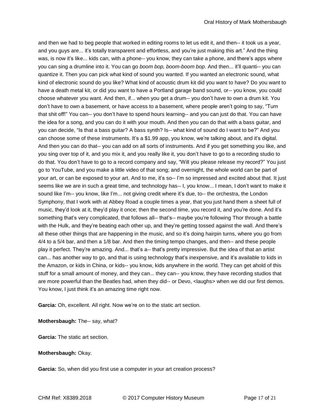and then we had to beg people that worked in editing rooms to let us edit it, and then-- it took us a year, and you guys are... it's totally transparent and effortless, and you're just making this art." And the thing was, is now it's like... kids can, with a phone-- you know, they can take a phone, and there's apps where you can sing a drumline into it. You can go *boom bop, boom-boom bop*. And then... it'll quanti-- you can quantize it. Then you can pick what kind of sound you wanted. If you wanted an electronic sound, what kind of electronic sound do you like? What kind of acoustic drum kit did you want to have? Do you want to have a death metal kit, or did you want to have a Portland garage band sound, or-- you know, you could choose whatever you want. And then, if... when you get a drum-- you don't have to own a drum kit. You don't have to own a basement, or have access to a basement, where people aren't going to say, "Turn that shit off!" You can-- you don't have to spend hours learning-- and you can just do that. You can have the idea for a song, and you can do it with your mouth. And then you can do that with a bass guitar, and you can decide, "Is that a bass guitar? A bass synth? Is-- what kind of sound do I want to be?" And you can choose some of these instruments. It's a \$1.99 app, you know, we're talking about, and it's digital. And then you can do that-- you can add on all sorts of instruments. And if you get something you like, and you sing over top of it, and you mix it, and you really like it, you don't have to go to a recording studio to do that. You don't have to go to a record company and say, "Will you please release my record?" You just go to YouTube, and you make a little video of that song; and overnight, the whole world can be part of your art, or can be exposed to your art. And to me, it's so-- I'm so impressed and excited about that. It just seems like we are in such a great time, and technology has-- I, you know... I mean, I don't want to make it sound like I'm-- you know, like I'm... not giving credit where it's due, to-- the orchestra, the London Symphony, that I work with at Abbey Road a couple times a year, that you just hand them a sheet full of music, they'd look at it, they'd play it once; then the second time, you record it, and you're done. And it's something that's very complicated, that follows all-- that's-- maybe you're following Thor through a battle with the Hulk, and they're beating each other up, and they're getting tossed against the wall. And there's all these other things that are happening in the music, and so it's doing hairpin turns, where you go from 4/4 to a 5/4 bar, and then a 1/8 bar. And then the timing tempo changes, and then-- and these people play it perfect. They're amazing. And... that's a-- that's pretty impressive. But the idea of that an artist can... has another way to go, and that is using technology that's inexpensive, and it's available to kids in the Amazon, or kids in China, or kids-- you know, kids anywhere in the world. They can get ahold of this stuff for a small amount of money, and they can... they can-- you know, they have recording studios that are more powerful than the Beatles had, when they did-- or Devo, <laughs> when we did our first demos. You know, I just think it's an amazing time right now.

**Garcia:** Oh, excellent. All right. Now we're on to the static art section.

**Mothersbaugh:** The-- say, what?

**Garcia:** The static art section.

# **Mothersbaugh:** Okay.

**Garcia:** So, when did you first use a computer in your art creation process?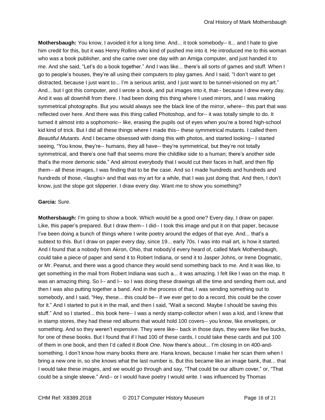**Mothersbaugh:** You know, I avoided it for a long time. And... it took somebody-- it... and I hate to give him credit for this, but it was Henry Rollins who kind of pushed me into it. He introduced me to this woman who was a book publisher, and she came over one day with an Amiga computer, and just handed it to me. And she said, "Let's do a book together." And I was like... there's all sorts of games and stuff. When I go to people's houses, they're all using their computers to play games. And I said, "I don't want to get distracted, because I just want to... I'm a serious artist, and I just want to be tunnel-visioned on my art." And... but I got this computer, and I wrote a book, and put images into it, that-- because I drew every day. And it was all downhill from there. I had been doing this thing where I used mirrors, and I was making symmetrical photographs. But you would always see the black line of the mirror, where-- this part that was reflected over here. And there was this thing called Photoshop, and for-- it was totally simple to do. It turned it almost into a sophomoric-- like, erasing the pupils out of eyes when you're a bored high-school kid kind of trick. But I did all these things where I made this-- these symmetrical mutants. I called them *Beautiful Mutants*. And I became obsessed with doing this with photos, and started looking-- I started seeing, "You know, they're-- humans, they all have-- they're symmetrical, but they're not totally symmetrical, and there's one half that seems more the childlike side to a human; there's another side that's the more demonic side." And almost everybody that I would cut their faces in half, and then flip them-- all these images, I was finding that to be the case. And so I made hundreds and hundreds and hundreds of those, <laughs> and that was my art for a while, that I was just doing that. And then, I don't know, just the slope got slipperier. I draw every day. Want me to show you something?

## **Garcia:** Sure.

**Mothersbaugh:** I'm going to show a book. Which would be a good one? Every day, I draw on paper. Like, this paper's prepared. But I draw them-- I did-- I took this image and put it on that paper, because I've been doing a bunch of things where I write poetry around the edges of that eye. And... that's a subtext to this. But I draw on paper every day, since 19... early 70s. I was into mail art, is how it started. And I found that a nobody from Akron, Ohio, that nobody'd every heard of, called Mark Mothersbaugh, could take a piece of paper and send it to Robert Indiana, or send it to Jasper Johns, or Irene Dogmatic, or Mr. Peanut, and there was a good chance they would send something back to me. And it was like, to get something in the mail from Robert Indiana was such a... it was amazing. I felt like I was on the map. It was an amazing thing. So I-- and I-- so I was doing these drawings all the time and sending them out, and then I was also putting together a band. And in the process of that, I was sending something out to somebody, and I said, "Hey, these... this could be-- if we ever get to do a record, this could be the cover for it." And I started to put it in the mail, and then I said, "Wait a second. Maybe I should be saving this stuff." And so I started... this book here-- I was a nerdy stamp-collector when I was a kid, and I knew that in stamp stores, they had these red albums that would hold 100 covers-- you know, like envelopes, or something. And so they weren't expensive. They were like-- back in those days, they were like five bucks, for one of these books. But I found that if I had 100 of these cards, I could take these cards and put 100 of them in one book, and then I'd called it *Book One*. Now there's about... I'm closing in on 400-andsomething. I don't know how many books there are. Hana knows, because I make her scan them when I bring a new one in, so she knows what the last number is. But this became like an image bank, that... that I would take these images, and we would go through and say, "That could be our album cover," or, "That could be a single sleeve." And-- or I would have poetry I would write. I was influenced by Thomas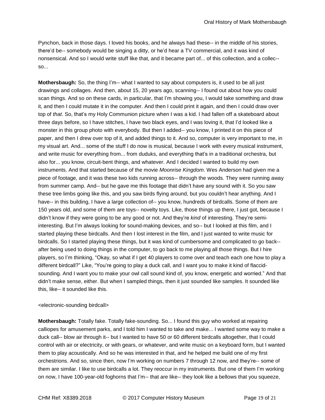Pynchon, back in those days. I loved his books, and he always had these-- in the middle of his stories, there'd be-- somebody would be singing a ditty, or he'd hear a TV commercial, and it was kind of nonsensical. And so I would write stuff like that, and it became part of... of this collection, and a collec-so...

**Mothersbaugh:** So, the thing I'm-- what I wanted to say about computers is, it used to be all just drawings and collages. And then, about 15, 20 years ago, scanning-- I found out about how you could scan things. And so on these cards, in particular, that I'm showing you, I would take something and draw it, and then I could mutate it in the computer. And then I could print it again, and then I could draw over top of *that*. So, that's my Holy Communion picture when I was a kid. I had fallen off a skateboard about three days before, so I have stitches, I have two black eyes, and I was loving it, that I'd looked like a monster in this group photo with everybody. But then I added-- you know, I printed it on this piece of paper, and then I drew over top of it, and added things to it. And so, computer is very important to me, in my visual art. And... some of the stuff I do now is musical, because I work with every musical instrument, and write music for everything from... from duduks, and everything that's in a traditional orchestra, but also for... you know, circuit-bent things, and whatever. And I decided I wanted to build my own instruments. And that started because of the movie *Moonrise Kingdom*. Wes Anderson had given me a piece of footage, and it was these two kids running across-- through the woods. They were running away from summer camp. And-- but he gave me this footage that didn't have any sound with it. So you saw these tree limbs going like this, and you saw birds flying around, but you couldn't hear anything. And I have-- in this building, I have a large collection of-- you know, hundreds of birdcalls. Some of them are 150 years old, and some of them are toys-- novelty toys. Like, those things up there, I just got, because I didn't know if they were going to be any good or not. And they're *kind* of interesting. They're semiinteresting. But I'm always looking for sound-making devices, and so-- but I looked at this film, and I started playing these birdcalls. And then I lost interest in the film, and I just wanted to write music for birdcalls. So I started playing these things, but it was kind of cumbersome and complicated to go back- after being used to doing things in the computer, to go back to me playing all those things. But I hire players, so I'm thinking, "Okay, so what if I get 40 players to come over and teach each one how to play a different birdcall?" Like, "You're going to play a duck call, and I want you to make it kind of flaccidsounding. And I want you to make your owl call sound kind of, you know, energetic and worried." And that didn't make sense, either. But when I sampled things, then it just sounded like samples. It sounded like this, like-- it sounded like this.

# <electronic-sounding birdcall>

**Mothersbaugh:** Totally fake. Totally fake-sounding. So... I found this guy who worked at repairing calliopes for amusement parks, and I told him I wanted to take and make... I wanted some way to make a duck call-- blow air through it-- but I wanted to have 50 or 60 different birdcalls altogether, that I could control with air or electricity, or with gears, or whatever, and write music on a keyboard form, but I wanted them to play acoustically. And so he was interested in that, and he helped me build one of my first orchestrions. And so, since then, now I'm working on numbers 7 through 12 now, and they're-- some of them are similar. I like to use birdcalls a lot. They reoccur in my instruments. But one of them I'm working on now, I have 100-year-old foghorns that I'm-- that are like-- they look like a bellows that you squeeze,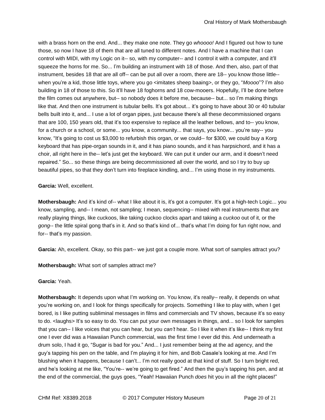with a brass horn on the end. And... they make one note. They go *whoooo!* And I figured out how to tune those, so now I have 18 of them that are all tuned to different notes. And I have a machine that I can control with MIDI, with my Logic on it-- so, with my computer-- and I control it with a computer, and it'll squeeze the horns for me. So... I'm building an instrument with 18 of those. And then, also, part of that instrument, besides 18 that are all off-- can be put all over a room, there are 18-- you know those little- when you're a kid, those little toys, where you go <imitates sheep baaing>, or they go, "*Moooo*"? I'm also building in 18 of those to this. So it'll have 18 foghorns and 18 cow-mooers. Hopefully, I'll be done before the film comes out anywhere, but-- so nobody does it before me, because-- but... so I'm making things like that. And then one instrument is tubular bells. It's got about... it's going to have about 30 or 40 tubular bells built into it, and... I use a lot of organ pipes, just because there's all these decommissioned organs that are 100, 150 years old, that it's too expensive to replace all the leather bellows, and to-- you know, for a church or a school, or some... you know, a community... that says, you know... you're say-- you know, "It's going to cost us \$3,000 to refurbish this organ, or we could-- for \$300, we could buy a Korg keyboard that has pipe-organ sounds in it, and it has piano sounds, and it has harpsichord, and it has a choir, all right here in the-- let's just get the keyboard. We can put it under our arm, and it doesn't need repaired." So... so these things are being decommissioned all over the world, and so I try to buy up beautiful pipes, so that they don't turn into fireplace kindling, and... I'm using those in my instruments.

## **Garcia:** Well, excellent.

**Mothersbaugh:** And it's kind of-- what I like about it is, it's got a computer. It's got a high-tech Logic... you know, sampling, and-- I mean, not sampling; I mean, sequencing-- mixed with real instruments that are really playing things, like cuckoos, like taking cuckoo clocks apart and taking a *cuckoo* out of it, or the *gong*-- the little spiral gong that's in it. And so that's kind of... that's what I'm doing for fun right now, and for-- that's my passion.

**Garcia:** Ah, excellent. Okay, so this part-- we just got a couple more. What sort of samples attract you?

**Mothersbaugh:** What sort of samples attract me?

**Garcia:** Yeah.

**Mothersbaugh:** It depends upon what I'm working on. You know, it's really-- really, it depends on what you're working on, and I look for things specifically for projects. Something I like to play with, when I get bored, is I like putting subliminal messages in films and commercials and TV shows, because it's so easy to do. < laughs> It's so easy to do. You can put your own messages in things, and... so I look for samples that you can-- I like voices that you can hear, but you *can't* hear. So I like it when it's like-- I think my first one I ever did was a Hawaiian Punch commercial, was the first time I ever did this. And underneath a drum solo, I had it go, "Sugar is bad for you." And... I just remember being at the ad agency, and the guy's tapping his pen on the table, and I'm playing it for him, and Bob Casale's looking at me. And I'm blushing when it happens, because I can't... I'm not really good at that kind of stuff. So I turn bright red, and he's looking at me like, "You're-- we're going to get fired." And then the guy's tapping his pen, and at the end of the commercial, the guys goes, "Yeah! Hawaiian Punch *does* hit you in all the right places!"